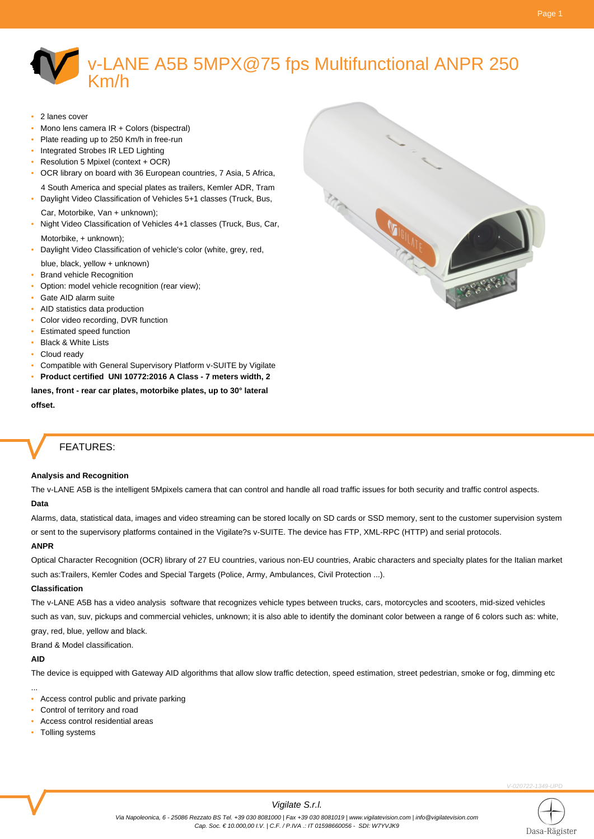# v-LANE A5B 5MPX@75 fps Multifunctional ANPR 250 Km/h

- 2 lanes cover
- Mono lens camera IR + Colors (bispectral)
- Plate reading up to 250 Km/h in free-run
- Integrated Strobes IR LED Lighting
- Resolution 5 Mpixel (context + OCR)
- OCR library on board with 36 European countries, 7 Asia, 5 Africa, 4 South America and special plates as trailers, Kemler ADR, Tram
- Daylight Video Classification of Vehicles 5+1 classes (Truck, Bus,
- Car, Motorbike, Van + unknown);
- Night Video Classification of Vehicles 4+1 classes (Truck, Bus, Car, Motorbike, + unknown);
- Daylight Video Classification of vehicle's color (white, grey, red,
- blue, black, yellow + unknown)
- Brand vehicle Recognition
- Option: model vehicle recognition (rear view);
- Gate AID alarm suite
- AID statistics data production
- Color video recording, DVR function
- Estimated speed function
- Black & White Lists
- Cloud ready
- Compatible with General Supervisory Platform v-SUITE by Vigilate
- **Product certified UNI 10772:2016 A Class 7 meters width, 2**

**lanes, front - rear car plates, motorbike plates, up to 30° lateral offset.**

## FEATURES:

### **Analysis and Recognition**

The v-LANE A5B is the intelligent 5Mpixels camera that can control and handle all road traffic issues for both security and traffic control aspects. **Data**

Alarms, data, statistical data, images and video streaming can be stored locally on SD cards or SSD memory, sent to the customer supervision system or sent to the supervisory platforms contained in the Vigilate?s v-SUITE. The device has FTP, XML-RPC (HTTP) and serial protocols.

### **ANPR**

Optical Character Recognition (OCR) library of 27 EU countries, various non-EU countries, Arabic characters and specialty plates for the Italian market such as:Trailers, Kemler Codes and Special Targets (Police, Army, Ambulances, Civil Protection ...).

#### **Classification**

The v-LANE A5B has a video analysis software that recognizes vehicle types between trucks, cars, motorcycles and scooters, mid-sized vehicles such as van, suv, pickups and commercial vehicles, unknown; it is also able to identify the dominant color between a range of 6 colors such as: white, gray, red, blue, yellow and black.

Brand & Model classification.

#### **AID**

...

The device is equipped with Gateway AID algorithms that allow slow traffic detection, speed estimation, street pedestrian, smoke or fog, dimming etc

- Access control public and private parking
- Control of territory and road
- Access control residential areas
- Tolling systems